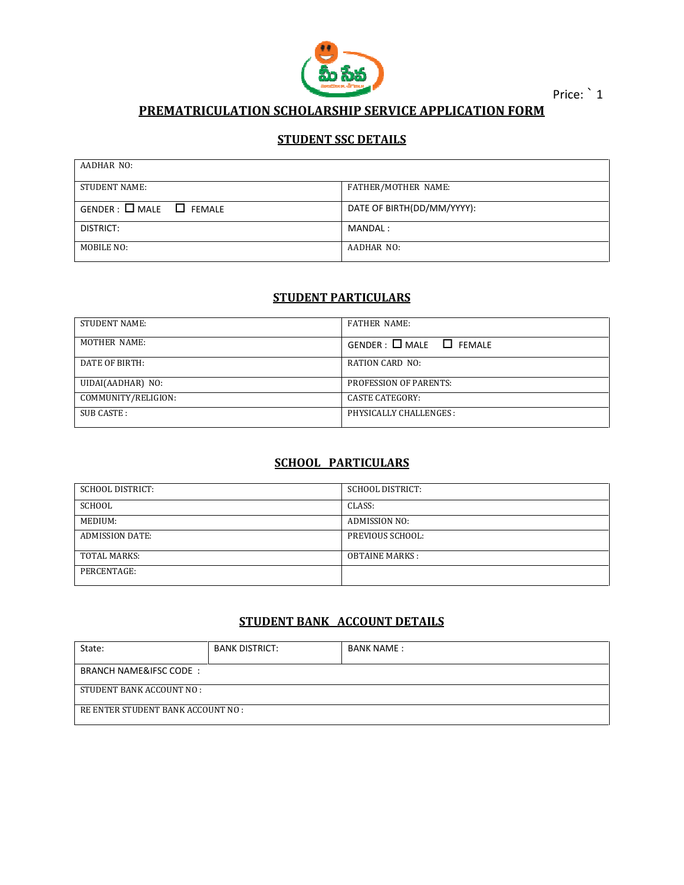

Price: 1

## PREMATRICULATION PREMATRICULATION SCHOLARSHIP SERVICE APPLICATION FOR FORM

#### STUDENT SSC DETAILS

| AADHAR NO:                      |                            |  |
|---------------------------------|----------------------------|--|
| <b>STUDENT NAME:</b>            | FATHER/MOTHER NAME:        |  |
| $GENDER: \Box MALE \Box FEMALE$ | DATE OF BIRTH(DD/MM/YYYY): |  |
| DISTRICT:                       | MANDAL :                   |  |
| MOBILE NO:                      | AADHAR NO:                 |  |

## STUDENT PARTICULARS

| <b>STUDENT NAME:</b> | <b>FATHER NAME:</b>              |
|----------------------|----------------------------------|
| MOTHER NAME:         | $GENDER : \Box MALE \Box FEMALE$ |
| DATE OF BIRTH:       | RATION CARD NO:                  |
| UIDAI(AADHAR) NO:    | <b>PROFESSION OF PARENTS:</b>    |
| COMMUNITY/RELIGION:  | <b>CASTE CATEGORY:</b>           |
| SUB CASTE:           | PHYSICALLY CHALLENGES :          |

# SCHOOL PARTICULARS

| SCHOOL DISTRICT:       | <b>SCHOOL DISTRICT:</b> |
|------------------------|-------------------------|
| SCHOOL                 | CLASS:                  |
| MEDIUM:                | ADMISSION NO:           |
| <b>ADMISSION DATE:</b> | PREVIOUS SCHOOL:        |
| <b>TOTAL MARKS:</b>    | <b>OBTAINE MARKS:</b>   |
| PERCENTAGE:            |                         |

### STUDENT BANK ACCOUNT DETAILS STUDENT BANK

| State:                             | <b>BANK DISTRICT:</b> | <b>BANK NAME:</b> |  |  |
|------------------------------------|-----------------------|-------------------|--|--|
| <b>BRANCH NAME&amp;IFSC CODE:</b>  |                       |                   |  |  |
| STUDENT BANK ACCOUNT NO :          |                       |                   |  |  |
| RE ENTER STUDENT BANK ACCOUNT NO : |                       |                   |  |  |